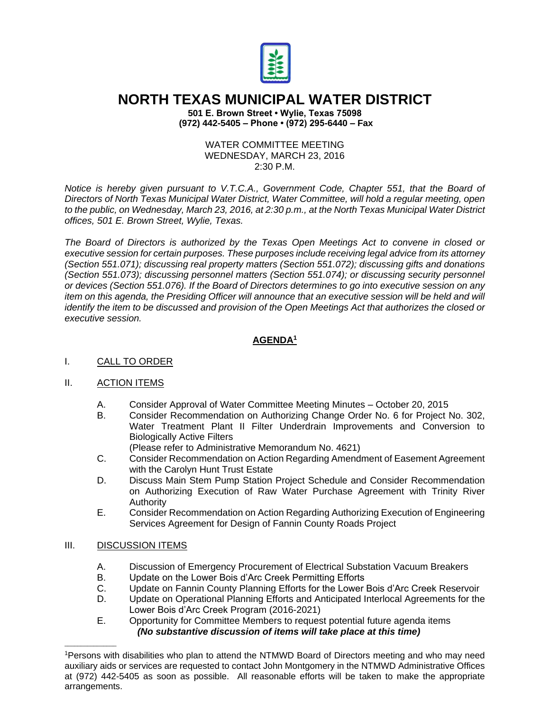

# **NORTH TEXAS MUNICIPAL WATER DISTRICT**

**501 E. Brown Street • Wylie, Texas 75098 (972) 442-5405 – Phone • (972) 295-6440 – Fax**

#### WATER COMMITTEE MEETING WEDNESDAY, MARCH 23, 2016  $2:30$  P M.

*Notice is hereby given pursuant to V.T.C.A., Government Code, Chapter 551, that the Board of Directors of North Texas Municipal Water District, Water Committee, will hold a regular meeting, open to the public, on Wednesday, March 23, 2016, at 2:30 p.m., at the North Texas Municipal Water District offices, 501 E. Brown Street, Wylie, Texas.*

*The Board of Directors is authorized by the Texas Open Meetings Act to convene in closed or executive session for certain purposes. These purposes include receiving legal advice from its attorney (Section 551.071); discussing real property matters (Section 551.072); discussing gifts and donations (Section 551.073); discussing personnel matters (Section 551.074); or discussing security personnel or devices (Section 551.076). If the Board of Directors determines to go into executive session on any item on this agenda, the Presiding Officer will announce that an executive session will be held and will identify the item to be discussed and provision of the Open Meetings Act that authorizes the closed or executive session.*

## **AGENDA<sup>1</sup>**

#### I. CALL TO ORDER

#### II. ACTION ITEMS

- A. Consider Approval of Water Committee Meeting Minutes October 20, 2015
- B. Consider Recommendation on Authorizing Change Order No. 6 for Project No. 302, Water Treatment Plant II Filter Underdrain Improvements and Conversion to Biologically Active Filters
- (Please refer to Administrative Memorandum No. 4621) C. Consider Recommendation on Action Regarding Amendment of Easement Agreement
- with the Carolyn Hunt Trust Estate
- D. Discuss Main Stem Pump Station Project Schedule and Consider Recommendation on Authorizing Execution of Raw Water Purchase Agreement with Trinity River Authority
- E. Consider Recommendation on Action Regarding Authorizing Execution of Engineering Services Agreement for Design of Fannin County Roads Project

#### III. DISCUSSION ITEMS

 $\_$ 

- A. Discussion of Emergency Procurement of Electrical Substation Vacuum Breakers<br>B. Update on the Lower Bois d'Arc Creek Permitting Efforts
- Update on the Lower Bois d'Arc Creek Permitting Efforts
- C. Update on Fannin County Planning Efforts for the Lower Bois d'Arc Creek Reservoir
- D. Update on Operational Planning Efforts and Anticipated Interlocal Agreements for the Lower Bois d'Arc Creek Program (2016-2021)
- E. Opportunity for Committee Members to request potential future agenda items *(No substantive discussion of items will take place at this time)*

<sup>1</sup>Persons with disabilities who plan to attend the NTMWD Board of Directors meeting and who may need auxiliary aids or services are requested to contact John Montgomery in the NTMWD Administrative Offices at (972) 442-5405 as soon as possible. All reasonable efforts will be taken to make the appropriate arrangements.